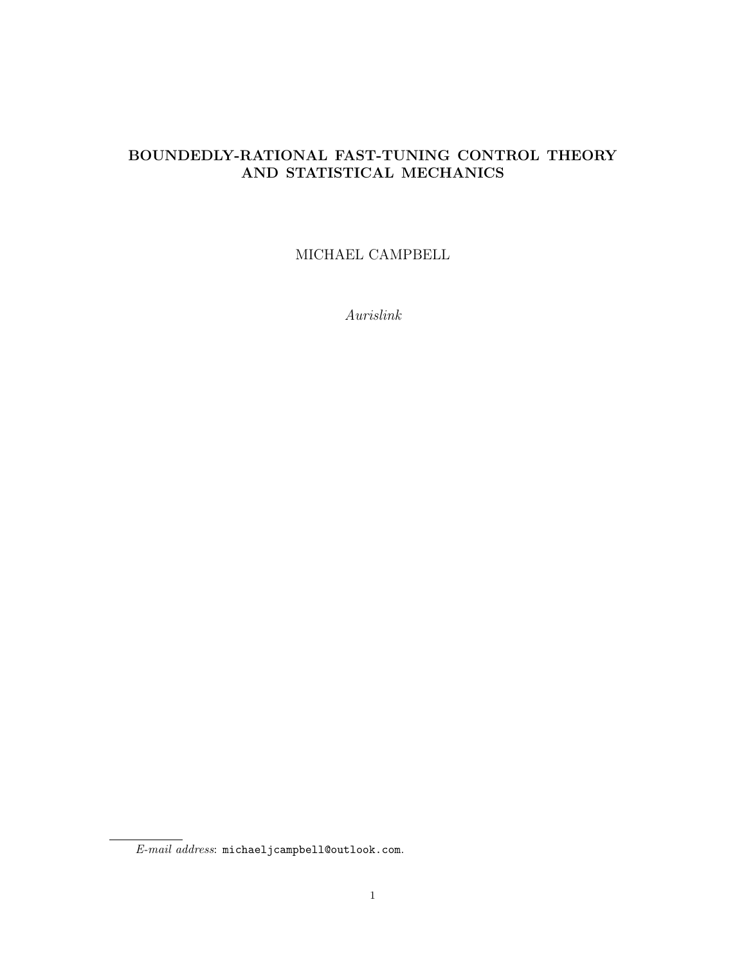# BOUNDEDLY-RATIONAL FAST-TUNING CONTROL THEORY AND STATISTICAL MECHANICS

MICHAEL CAMPBELL

Aurislink

 $E\text{-}mail~address: \text{ mitochondrial}$  jcampbell@outlook.com.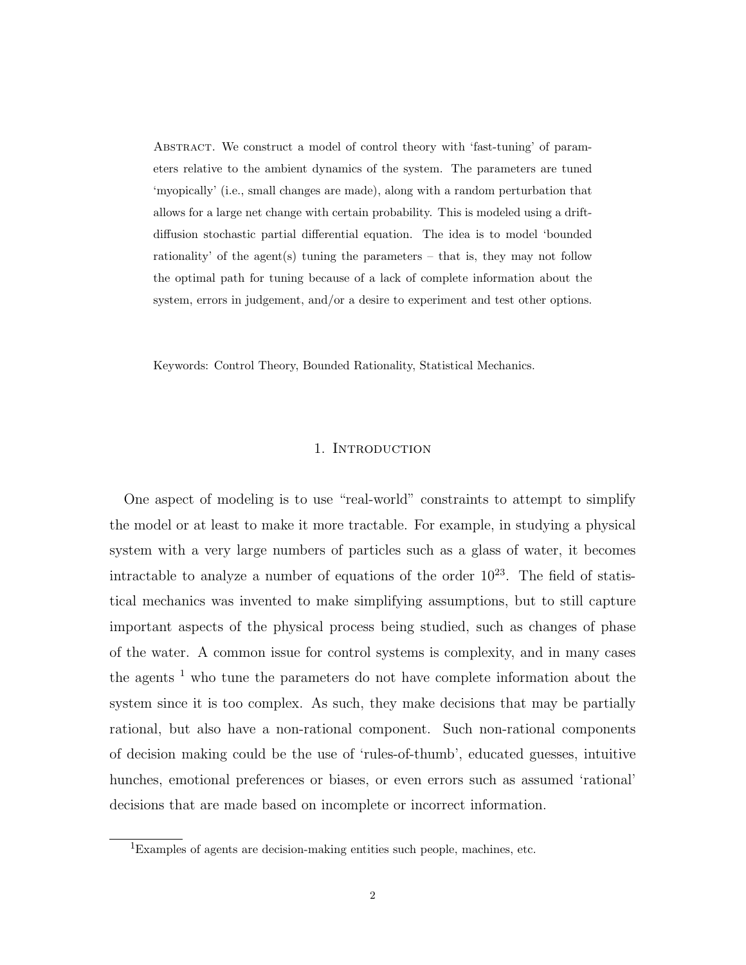Abstract. We construct a model of control theory with 'fast-tuning' of parameters relative to the ambient dynamics of the system. The parameters are tuned 'myopically' (i.e., small changes are made), along with a random perturbation that allows for a large net change with certain probability. This is modeled using a driftdiffusion stochastic partial differential equation. The idea is to model 'bounded rationality' of the agent(s) tuning the parameters – that is, they may not follow the optimal path for tuning because of a lack of complete information about the system, errors in judgement, and/or a desire to experiment and test other options.

Keywords: Control Theory, Bounded Rationality, Statistical Mechanics.

### 1. Introduction

One aspect of modeling is to use "real-world" constraints to attempt to simplify the model or at least to make it more tractable. For example, in studying a physical system with a very large numbers of particles such as a glass of water, it becomes intractable to analyze a number of equations of the order  $10^{23}$ . The field of statistical mechanics was invented to make simplifying assumptions, but to still capture important aspects of the physical process being studied, such as changes of phase of the water. A common issue for control systems is complexity, and in many cases the agents  $<sup>1</sup>$  who tune the parameters do not have complete information about the</sup> system since it is too complex. As such, they make decisions that may be partially rational, but also have a non-rational component. Such non-rational components of decision making could be the use of 'rules-of-thumb', educated guesses, intuitive hunches, emotional preferences or biases, or even errors such as assumed 'rational' decisions that are made based on incomplete or incorrect information.

<sup>1</sup>Examples of agents are decision-making entities such people, machines, etc.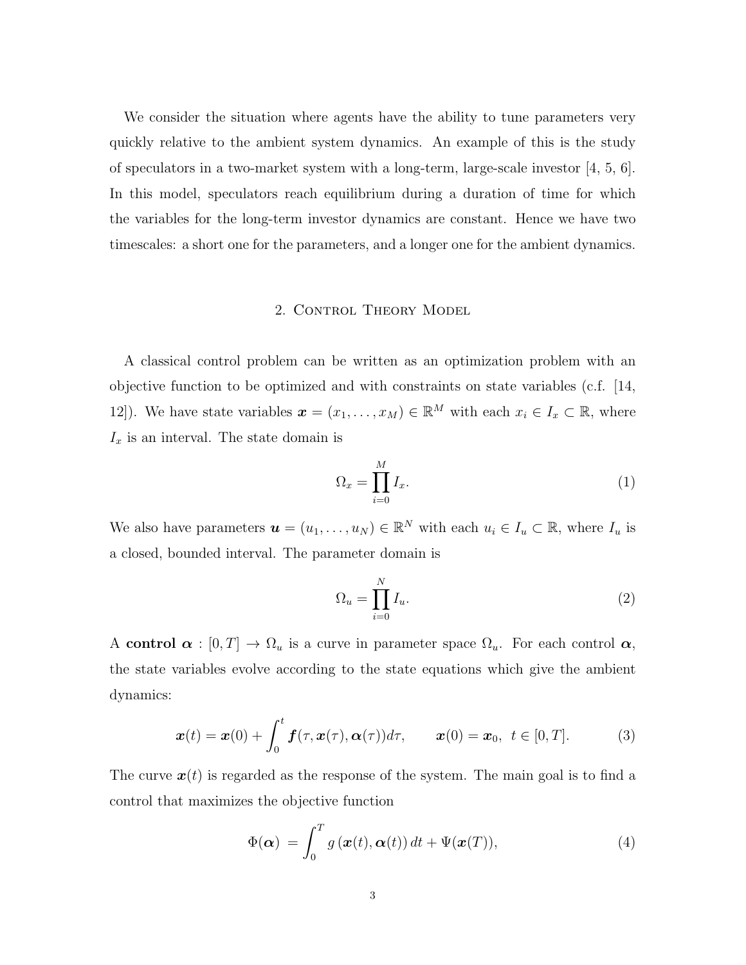We consider the situation where agents have the ability to tune parameters very quickly relative to the ambient system dynamics. An example of this is the study of speculators in a two-market system with a long-term, large-scale investor [4, 5, 6]. In this model, speculators reach equilibrium during a duration of time for which the variables for the long-term investor dynamics are constant. Hence we have two timescales: a short one for the parameters, and a longer one for the ambient dynamics.

## 2. CONTROL THEORY MODEL

A classical control problem can be written as an optimization problem with an objective function to be optimized and with constraints on state variables (c.f. [14, 12]). We have state variables  $\boldsymbol{x} = (x_1, \ldots, x_M) \in \mathbb{R}^M$  with each  $x_i \in I_x \subset \mathbb{R}$ , where  $I_x$  is an interval. The state domain is

$$
\Omega_x = \prod_{i=0}^{M} I_x. \tag{1}
$$

We also have parameters  $\boldsymbol{u} = (u_1, \dots, u_N) \in \mathbb{R}^N$  with each  $u_i \in I_u \subset \mathbb{R}$ , where  $I_u$  is a closed, bounded interval. The parameter domain is

$$
\Omega_u = \prod_{i=0}^N I_u. \tag{2}
$$

A control  $\alpha : [0, T] \to \Omega_u$  is a curve in parameter space  $\Omega_u$ . For each control  $\alpha$ , the state variables evolve according to the state equations which give the ambient dynamics:

$$
\boldsymbol{x}(t) = \boldsymbol{x}(0) + \int_0^t \boldsymbol{f}(\tau, \boldsymbol{x}(\tau), \boldsymbol{\alpha}(\tau)) d\tau, \qquad \boldsymbol{x}(0) = \boldsymbol{x}_0, \ \ t \in [0, T]. \tag{3}
$$

The curve  $x(t)$  is regarded as the response of the system. The main goal is to find a control that maximizes the objective function

$$
\Phi(\boldsymbol{\alpha}) = \int_0^T g(\boldsymbol{x}(t), \boldsymbol{\alpha}(t)) dt + \Psi(\boldsymbol{x}(T)), \qquad (4)
$$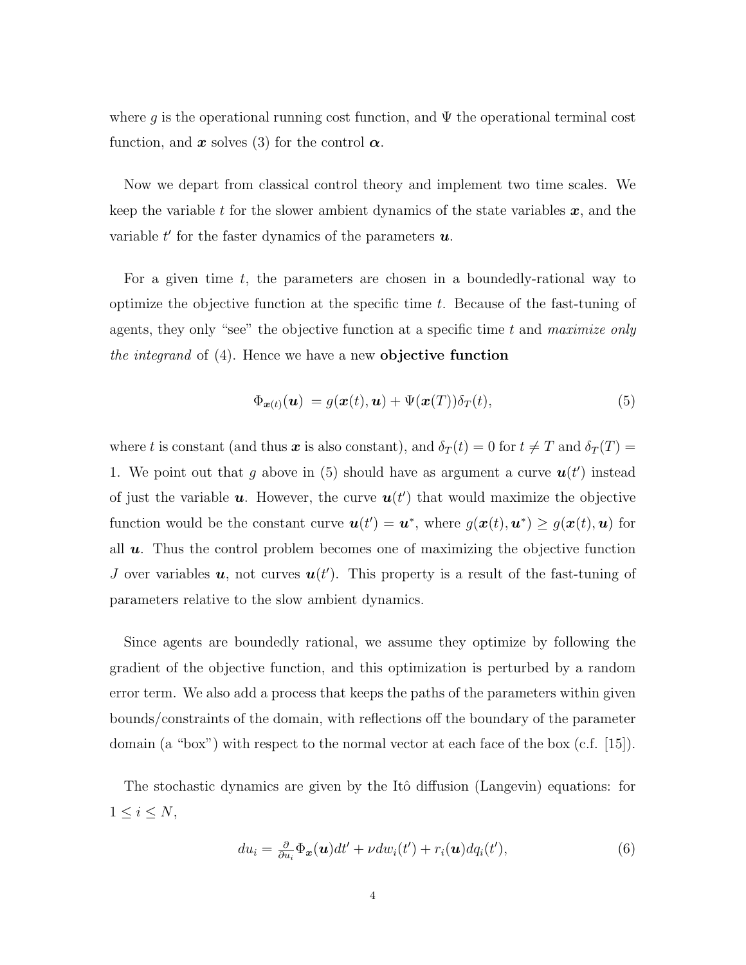where q is the operational running cost function, and  $\Psi$  the operational terminal cost function, and x solves (3) for the control  $\alpha$ .

Now we depart from classical control theory and implement two time scales. We keep the variable t for the slower ambient dynamics of the state variables  $x$ , and the variable  $t'$  for the faster dynamics of the parameters  $u$ .

For a given time  $t$ , the parameters are chosen in a boundedly-rational way to optimize the objective function at the specific time  $t$ . Because of the fast-tuning of agents, they only "see" the objective function at a specific time  $t$  and maximize only the integrand of (4). Hence we have a new objective function

$$
\Phi_{\boldsymbol{x}(t)}(\boldsymbol{u}) = g(\boldsymbol{x}(t), \boldsymbol{u}) + \Psi(\boldsymbol{x}(T))\delta_T(t), \tag{5}
$$

where t is constant (and thus x is also constant), and  $\delta_T(t) = 0$  for  $t \neq T$  and  $\delta_T(T) =$ 1. We point out that g above in (5) should have as argument a curve  $u(t')$  instead of just the variable  $u$ . However, the curve  $u(t')$  that would maximize the objective function would be the constant curve  $u(t') = u^*$ , where  $g(x(t), u^*) \ge g(x(t), u)$  for all  $u$ . Thus the control problem becomes one of maximizing the objective function J over variables  $u$ , not curves  $u(t')$ . This property is a result of the fast-tuning of parameters relative to the slow ambient dynamics.

Since agents are boundedly rational, we assume they optimize by following the gradient of the objective function, and this optimization is perturbed by a random error term. We also add a process that keeps the paths of the parameters within given bounds/constraints of the domain, with reflections off the boundary of the parameter domain (a "box") with respect to the normal vector at each face of the box (c.f. [15]).

The stochastic dynamics are given by the Itô diffusion (Langevin) equations: for  $1 \leq i \leq N$ ,

$$
du_i = \frac{\partial}{\partial u_i} \Phi_{\boldsymbol{x}}(\boldsymbol{u}) dt' + \nu dw_i(t') + r_i(\boldsymbol{u}) dq_i(t'), \qquad (6)
$$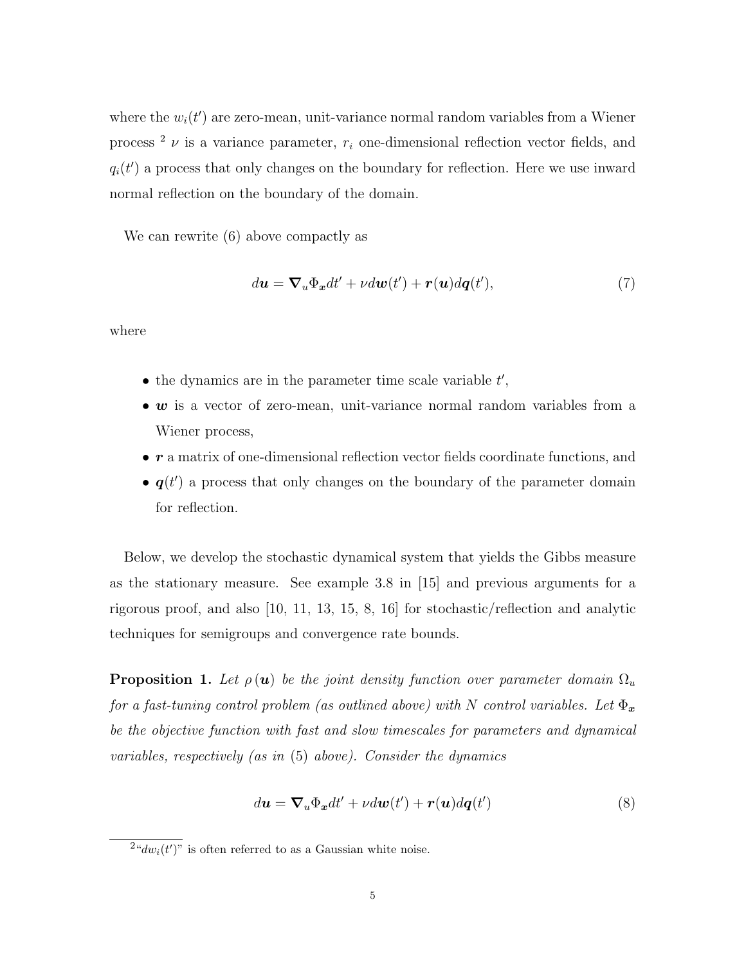where the  $w_i(t')$  are zero-mean, unit-variance normal random variables from a Wiener process<sup>2</sup>  $\nu$  is a variance parameter,  $r_i$  one-dimensional reflection vector fields, and  $q_i(t')$  a process that only changes on the boundary for reflection. Here we use inward normal reflection on the boundary of the domain.

We can rewrite  $(6)$  above compactly as

$$
d\mathbf{u} = \nabla_u \Phi_x dt' + \nu d\mathbf{w}(t') + \mathbf{r}(\mathbf{u}) d\mathbf{q}(t'),\tag{7}
$$

where

- $\bullet$  the dynamics are in the parameter time scale variable  $t'$ ,
- $\bullet$  **w** is a vector of zero-mean, unit-variance normal random variables from a Wiener process,
- $\bullet$   $\boldsymbol{r}$  a matrix of one-dimensional reflection vector fields coordinate functions, and
- $q(t')$  a process that only changes on the boundary of the parameter domain for reflection.

Below, we develop the stochastic dynamical system that yields the Gibbs measure as the stationary measure. See example 3.8 in [15] and previous arguments for a rigorous proof, and also [10, 11, 13, 15, 8, 16] for stochastic/reflection and analytic techniques for semigroups and convergence rate bounds.

**Proposition 1.** Let  $\rho(\mathbf{u})$  be the joint density function over parameter domain  $\Omega_u$ for a fast-tuning control problem (as outlined above) with N control variables. Let  $\Phi_{\boldsymbol{x}}$ be the objective function with fast and slow timescales for parameters and dynamical variables, respectively (as in (5) above). Consider the dynamics

$$
d\mathbf{u} = \nabla_u \Phi_x dt' + \nu d\mathbf{w}(t') + \mathbf{r}(\mathbf{u}) d\mathbf{q}(t')
$$
\n(8)

 $^{2}$ " $dw_i(t')$ " is often referred to as a Gaussian white noise.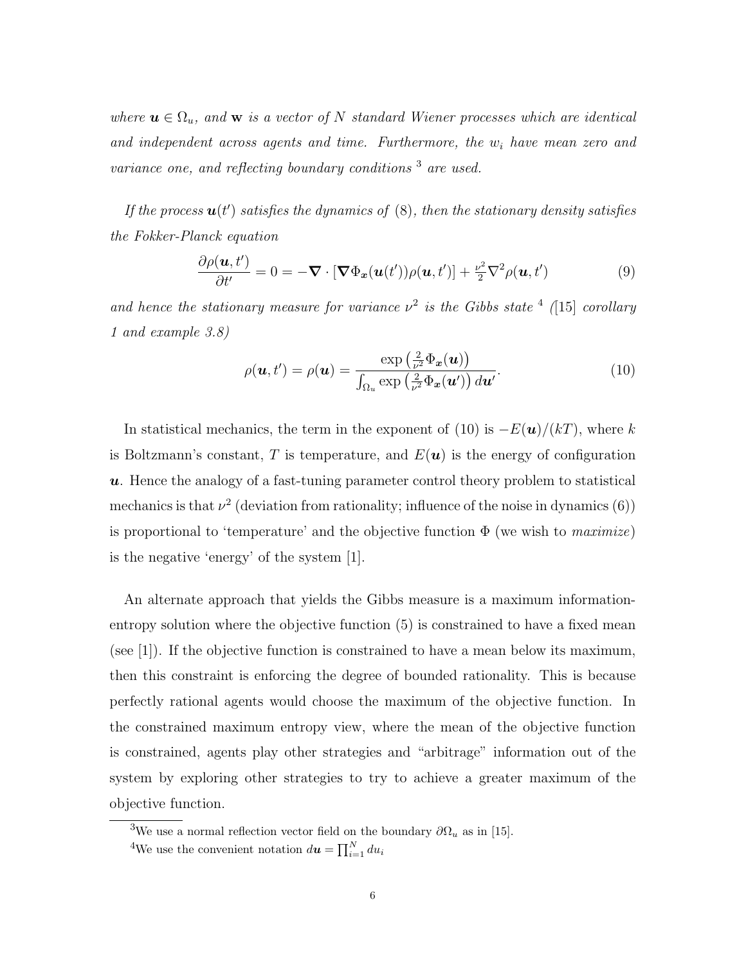where  $u \in \Omega_u$ , and w is a vector of N standard Wiener processes which are identical and independent across agents and time. Furthermore, the  $w_i$  have mean zero and variance one, and reflecting boundary conditions<sup>3</sup> are used.

If the process  $\mathbf{u}(t')$  satisfies the dynamics of (8), then the stationary density satisfies the Fokker-Planck equation

$$
\frac{\partial \rho(\mathbf{u},t')}{\partial t'} = 0 = -\nabla \cdot [\nabla \Phi_{\mathbf{x}}(\mathbf{u}(t'))\rho(\mathbf{u},t')] + \frac{\nu^2}{2} \nabla^2 \rho(\mathbf{u},t')
$$
(9)

and hence the stationary measure for variance  $\nu^2$  is the Gibbs state <sup>4</sup> ([15] corollary 1 and example 3.8)

$$
\rho(\boldsymbol{u},t') = \rho(\boldsymbol{u}) = \frac{\exp\left(\frac{2}{\nu^2}\Phi_{\boldsymbol{x}}(\boldsymbol{u})\right)}{\int_{\Omega_{\boldsymbol{u}}}\exp\left(\frac{2}{\nu^2}\Phi_{\boldsymbol{x}}(\boldsymbol{u}')\right)d\boldsymbol{u}'}.
$$
(10)

In statistical mechanics, the term in the exponent of (10) is  $-E(\mathbf{u})/(kT)$ , where k is Boltzmann's constant, T is temperature, and  $E(\mathbf{u})$  is the energy of configuration  $\boldsymbol{u}$ . Hence the analogy of a fast-tuning parameter control theory problem to statistical mechanics is that  $\nu^2$  (deviation from rationality; influence of the noise in dynamics (6)) is proportional to 'temperature' and the objective function  $\Phi$  (we wish to *maximize*) is the negative 'energy' of the system [1].

An alternate approach that yields the Gibbs measure is a maximum informationentropy solution where the objective function (5) is constrained to have a fixed mean (see [1]). If the objective function is constrained to have a mean below its maximum, then this constraint is enforcing the degree of bounded rationality. This is because perfectly rational agents would choose the maximum of the objective function. In the constrained maximum entropy view, where the mean of the objective function is constrained, agents play other strategies and "arbitrage" information out of the system by exploring other strategies to try to achieve a greater maximum of the objective function.

<sup>&</sup>lt;sup>3</sup>We use a normal reflection vector field on the boundary  $\partial \Omega_u$  as in [15].

<sup>&</sup>lt;sup>4</sup>We use the convenient notation  $d\boldsymbol{u} = \prod_{i=1}^{N} du_i$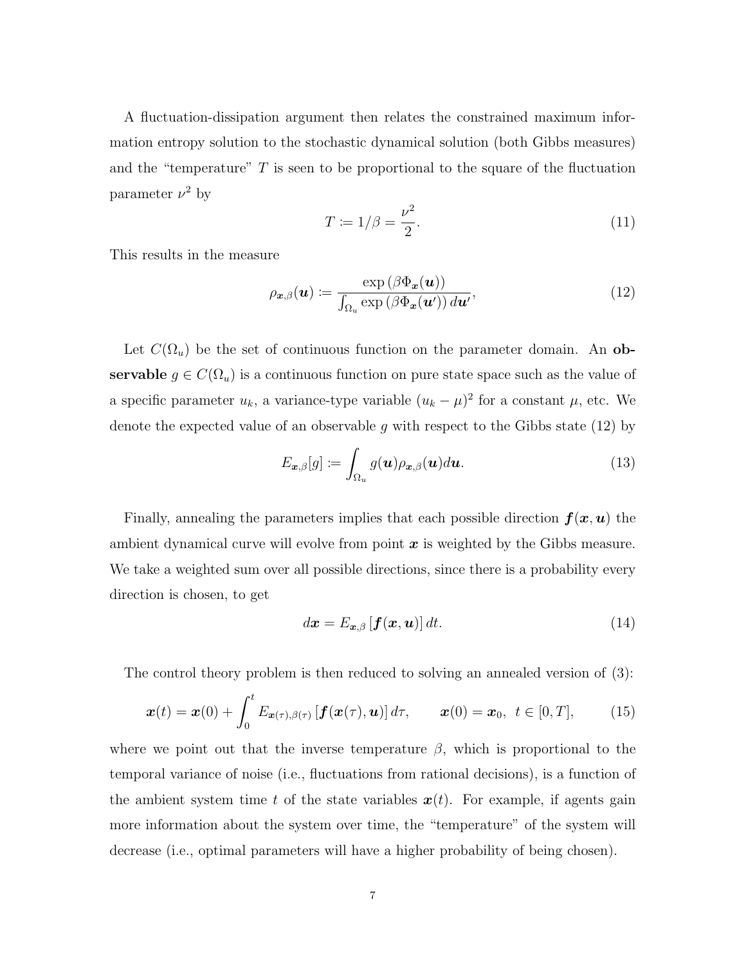A fluctuation-dissipation argument then relates the constrained maximum information entropy solution to the stochastic dynamical solution (both Gibbs measures) and the "temperature"  $T$  is seen to be proportional to the square of the fluctuation parameter  $\nu^2$  by

$$
T := 1/\beta = \frac{\nu^2}{2}.
$$
 (11)

This results in the measure

$$
\rho_{\boldsymbol{x},\beta}(\boldsymbol{u}) \coloneqq \frac{\exp\left(\beta \Phi_{\boldsymbol{x}}(\boldsymbol{u})\right)}{\int_{\Omega_{\boldsymbol{u}}}\exp\left(\beta \Phi_{\boldsymbol{x}}(\boldsymbol{u}')\right)d\boldsymbol{u}'},\tag{12}
$$

Let  $C(\Omega_u)$  be the set of continuous function on the parameter domain. An observable  $g \in C(\Omega_u)$  is a continuous function on pure state space such as the value of a specific parameter  $u_k$ , a variance-type variable  $(u_k - \mu)^2$  for a constant  $\mu$ , etc. We denote the expected value of an observable g with respect to the Gibbs state  $(12)$  by

$$
E_{\boldsymbol{x},\beta}[g] \coloneqq \int_{\Omega_{\boldsymbol{u}}} g(\boldsymbol{u}) \rho_{\boldsymbol{x},\beta}(\boldsymbol{u}) d\boldsymbol{u}.
$$
 (13)

Finally, annealing the parameters implies that each possible direction  $f(x, u)$  the ambient dynamical curve will evolve from point  $x$  is weighted by the Gibbs measure. We take a weighted sum over all possible directions, since there is a probability every direction is chosen, to get

$$
d\boldsymbol{x} = E_{\boldsymbol{x},\beta} \left[ \boldsymbol{f}(\boldsymbol{x},\boldsymbol{u}) \right] dt. \tag{14}
$$

The control theory problem is then reduced to solving an annealed version of (3):

$$
\boldsymbol{x}(t) = \boldsymbol{x}(0) + \int_0^t E_{\boldsymbol{x}(\tau), \beta(\tau)} \left[ \boldsymbol{f}(\boldsymbol{x}(\tau), \boldsymbol{u}) \right] d\tau, \qquad \boldsymbol{x}(0) = \boldsymbol{x}_0, \ \ t \in [0, T], \tag{15}
$$

where we point out that the inverse temperature  $\beta$ , which is proportional to the temporal variance of noise (i.e., fluctuations from rational decisions), is a function of the ambient system time t of the state variables  $x(t)$ . For example, if agents gain more information about the system over time, the "temperature" of the system will decrease (i.e., optimal parameters will have a higher probability of being chosen).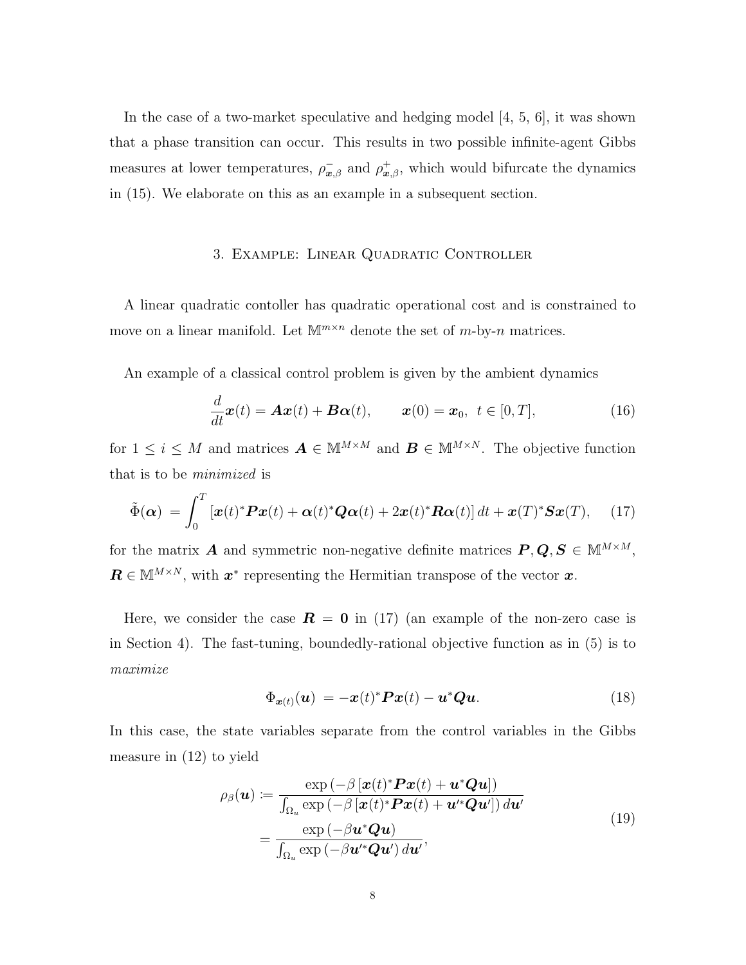In the case of a two-market speculative and hedging model [4, 5, 6], it was shown that a phase transition can occur. This results in two possible infinite-agent Gibbs measures at lower temperatures,  $\rho_{\bm{x},\beta}^-$  and  $\rho_{\bm{x},\beta}^+$ , which would bifurcate the dynamics in (15). We elaborate on this as an example in a subsequent section.

#### 3. Example: Linear Quadratic Controller

A linear quadratic contoller has quadratic operational cost and is constrained to move on a linear manifold. Let  $\mathbb{M}^{m \times n}$  denote the set of  $m$ -by-n matrices.

An example of a classical control problem is given by the ambient dynamics

$$
\frac{d}{dt}\boldsymbol{x}(t) = \boldsymbol{A}\boldsymbol{x}(t) + \boldsymbol{B}\boldsymbol{\alpha}(t), \qquad \boldsymbol{x}(0) = \boldsymbol{x}_0, \ t \in [0, T], \tag{16}
$$

for  $1 \leq i \leq M$  and matrices  $\mathbf{A} \in \mathbb{M}^{M \times M}$  and  $\mathbf{B} \in \mathbb{M}^{M \times N}$ . The objective function that is to be *minimized* is

$$
\tilde{\Phi}(\boldsymbol{\alpha}) = \int_0^T \left[ \boldsymbol{x}(t)^* \boldsymbol{P} \boldsymbol{x}(t) + \boldsymbol{\alpha}(t)^* \boldsymbol{Q} \boldsymbol{\alpha}(t) + 2 \boldsymbol{x}(t)^* \boldsymbol{R} \boldsymbol{\alpha}(t) \right] dt + \boldsymbol{x}(T)^* \boldsymbol{S} \boldsymbol{x}(T), \quad (17)
$$

for the matrix A and symmetric non-negative definite matrices  $P, Q, S \in \mathbb{M}^{M \times M}$ ,  $\mathbf{R} \in \mathbb{M}^{M \times N}$ , with  $\mathbf{x}^*$  representing the Hermitian transpose of the vector  $\mathbf{x}$ .

Here, we consider the case  $\mathbf{R} = \mathbf{0}$  in (17) (an example of the non-zero case is in Section 4). The fast-tuning, boundedly-rational objective function as in (5) is to maximize

$$
\Phi_{\boldsymbol{x}(t)}(\boldsymbol{u}) = -\boldsymbol{x}(t)^* \boldsymbol{P} \boldsymbol{x}(t) - \boldsymbol{u}^* \boldsymbol{Q} \boldsymbol{u}.
$$
\n(18)

In this case, the state variables separate from the control variables in the Gibbs measure in (12) to yield

$$
\rho_{\beta}(\boldsymbol{u}) \coloneqq \frac{\exp\left(-\beta\left[\boldsymbol{x}(t)^{*}\boldsymbol{P}\boldsymbol{x}(t) + \boldsymbol{u}^{*}\boldsymbol{Q}\boldsymbol{u}\right]\right)}{\int_{\Omega_{u}} \exp\left(-\beta\left[\boldsymbol{x}(t)^{*}\boldsymbol{P}\boldsymbol{x}(t) + \boldsymbol{u}'^{*}\boldsymbol{Q}\boldsymbol{u}'\right]\right) d\boldsymbol{u}'}
$$
\n
$$
= \frac{\exp\left(-\beta\boldsymbol{u}^{*}\boldsymbol{Q}\boldsymbol{u}\right)}{\int_{\Omega_{u}} \exp\left(-\beta\boldsymbol{u}'^{*}\boldsymbol{Q}\boldsymbol{u}'\right) d\boldsymbol{u}'}, \tag{19}
$$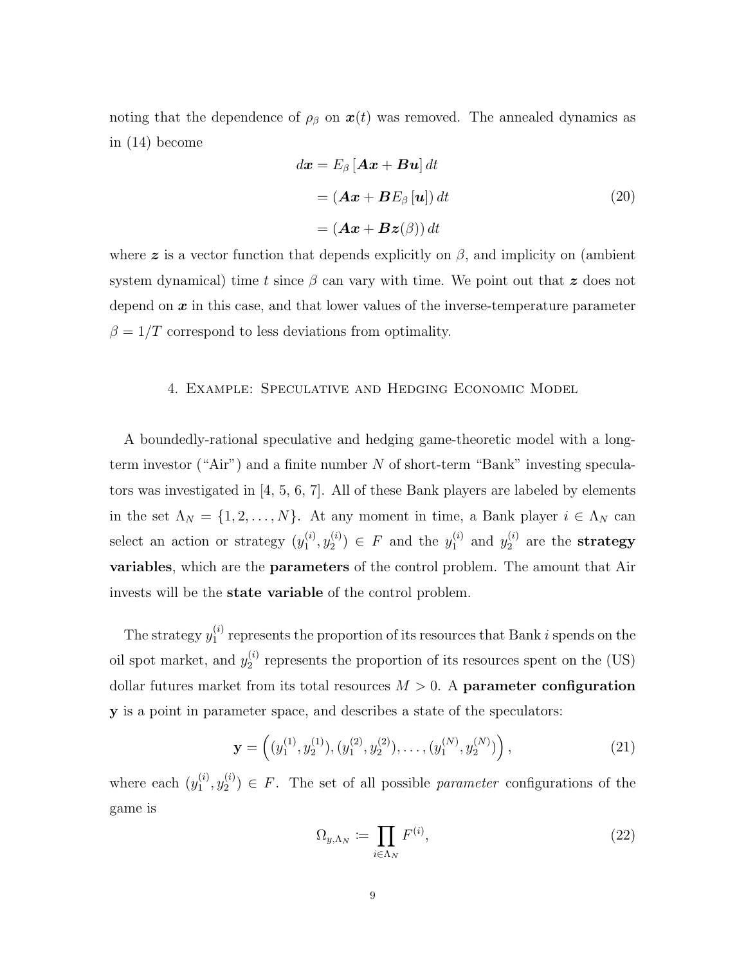noting that the dependence of  $\rho_{\beta}$  on  $\boldsymbol{x}(t)$  was removed. The annealed dynamics as in (14) become

$$
d\boldsymbol{x} = E_{\beta} [\boldsymbol{A}\boldsymbol{x} + \boldsymbol{B}\boldsymbol{u}] dt
$$
  
=  $(\boldsymbol{A}\boldsymbol{x} + \boldsymbol{B}E_{\beta} [\boldsymbol{u}]) dt$  (20)  
=  $(\boldsymbol{A}\boldsymbol{x} + \boldsymbol{B}\boldsymbol{z}(\beta)) dt$ 

where  $\boldsymbol{z}$  is a vector function that depends explicitly on  $\beta$ , and implicity on (ambient system dynamical) time t since  $\beta$  can vary with time. We point out that z does not depend on  $x$  in this case, and that lower values of the inverse-temperature parameter  $\beta = 1/T$  correspond to less deviations from optimality.

#### 4. Example: Speculative and Hedging Economic Model

A boundedly-rational speculative and hedging game-theoretic model with a longterm investor ("Air") and a finite number  $N$  of short-term "Bank" investing speculators was investigated in [4, 5, 6, 7]. All of these Bank players are labeled by elements in the set  $\Lambda_N = \{1, 2, ..., N\}$ . At any moment in time, a Bank player  $i \in \Lambda_N$  can select an action or strategy  $(y_1^{(i)})$  $\mathbf{y}_1^{(i)},\mathbf{y}_2^{(i)}$  $y_2^{(i)}$ )  $\in$  F and the  $y_1^{(i)}$  $y_1^{(i)}$  and  $y_2^{(i)}$  $2^{(i)}$  are the strategy variables, which are the parameters of the control problem. The amount that Air invests will be the state variable of the control problem.

The strategy  $y_1^{(i)}$  $n_1^{(i)}$  represents the proportion of its resources that Bank i spends on the oil spot market, and  $y_2^{(i)}$  $2<sup>(t)</sup>$  represents the proportion of its resources spent on the (US) dollar futures market from its total resources  $M > 0$ . A parameter configuration y is a point in parameter space, and describes a state of the speculators:

$$
\mathbf{y} = \left( (y_1^{(1)}, y_2^{(1)}), (y_1^{(2)}, y_2^{(2)}), \dots, (y_1^{(N)}, y_2^{(N)}) \right),\tag{21}
$$

where each  $(y_1^{(i)})$  $\mathcal{y}_1^{(i)}, \mathcal{y}_2^{(i)}$  $2^{(i)}$   $\in$  F. The set of all possible *parameter* configurations of the game is

$$
\Omega_{y,\Lambda_N} := \prod_{i \in \Lambda_N} F^{(i)},\tag{22}
$$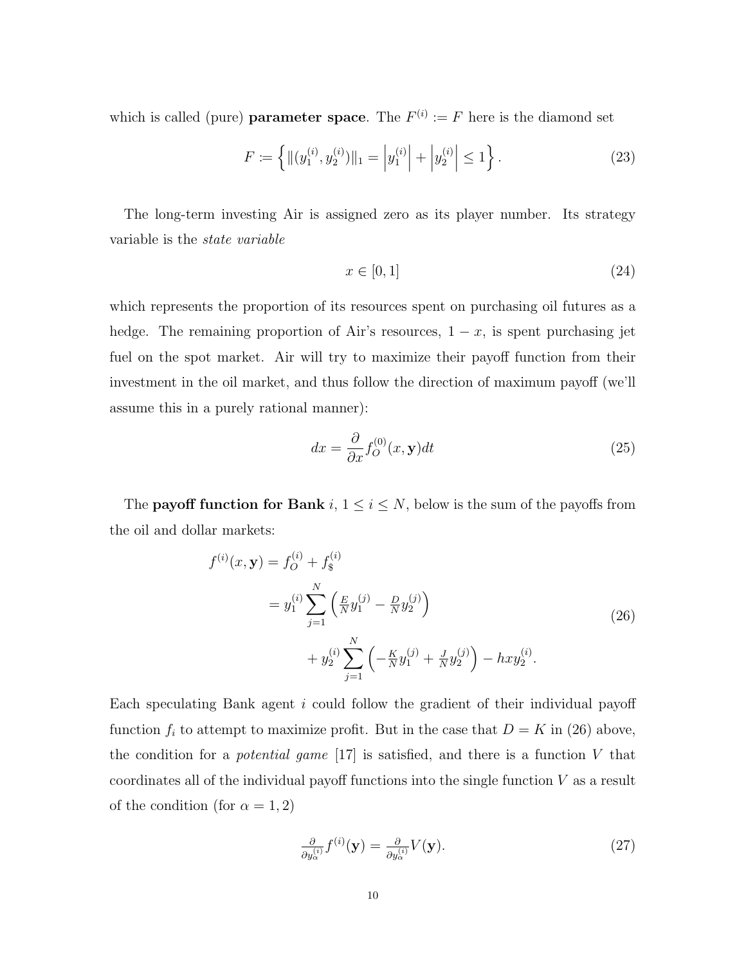which is called (pure) **parameter space**. The  $F^{(i)} := F$  here is the diamond set

$$
F := \left\{ \left| \left| (y_1^{(i)}, y_2^{(i)}) \right| \right|_1 = \left| y_1^{(i)} \right| + \left| y_2^{(i)} \right| \le 1 \right\}. \tag{23}
$$

The long-term investing Air is assigned zero as its player number. Its strategy variable is the state variable

$$
x \in [0, 1] \tag{24}
$$

which represents the proportion of its resources spent on purchasing oil futures as a hedge. The remaining proportion of Air's resources,  $1 - x$ , is spent purchasing jet fuel on the spot market. Air will try to maximize their payoff function from their investment in the oil market, and thus follow the direction of maximum payoff (we'll assume this in a purely rational manner):

$$
dx = \frac{\partial}{\partial x} f_O^{(0)}(x, \mathbf{y}) dt
$$
\n(25)

The **payoff function for Bank**  $i, 1 \leq i \leq N$ , below is the sum of the payoffs from the oil and dollar markets:

$$
f^{(i)}(x, \mathbf{y}) = f_O^{(i)} + f_{\$}^{(i)}
$$
  
=  $y_1^{(i)} \sum_{j=1}^N \left( \frac{E}{N} y_1^{(j)} - \frac{D}{N} y_2^{(j)} \right)$   
+  $y_2^{(i)} \sum_{j=1}^N \left( -\frac{K}{N} y_1^{(j)} + \frac{J}{N} y_2^{(j)} \right) - hxy_2^{(i)}$ . (26)

Each speculating Bank agent i could follow the gradient of their individual payoff function  $f_i$  to attempt to maximize profit. But in the case that  $D = K$  in (26) above, the condition for a *potential game* [17] is satisfied, and there is a function  $V$  that coordinates all of the individual payoff functions into the single function V as a result of the condition (for  $\alpha = 1, 2$ )

$$
\frac{\partial}{\partial y_{\alpha}^{(i)}} f^{(i)}(\mathbf{y}) = \frac{\partial}{\partial y_{\alpha}^{(i)}} V(\mathbf{y}).
$$
\n(27)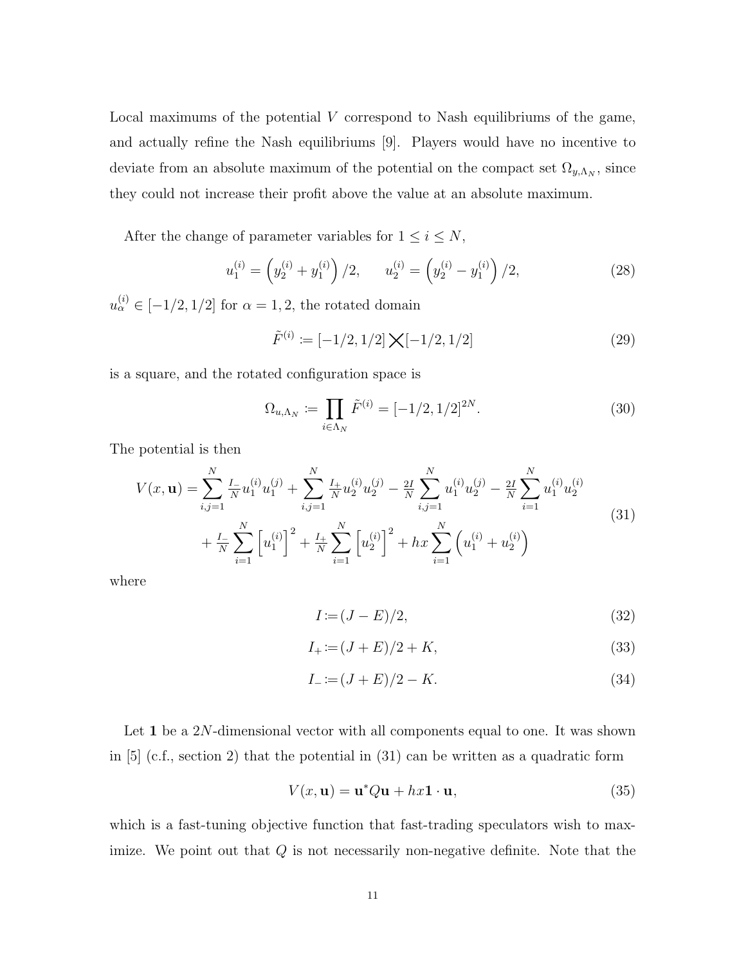Local maximums of the potential  $V$  correspond to Nash equilibriums of the game, and actually refine the Nash equilibriums [9]. Players would have no incentive to deviate from an absolute maximum of the potential on the compact set  $\Omega_{y,\Lambda_N}$ , since they could not increase their profit above the value at an absolute maximum.

After the change of parameter variables for  $1 \leq i \leq N$ ,

$$
u_1^{(i)} = \left(y_2^{(i)} + y_1^{(i)}\right)/2, \qquad u_2^{(i)} = \left(y_2^{(i)} - y_1^{(i)}\right)/2,\tag{28}
$$

 $u_{\alpha}^{(i)} \in [-1/2, 1/2]$  for  $\alpha = 1, 2$ , the rotated domain

$$
\tilde{F}^{(i)} := [-1/2, 1/2] \times [-1/2, 1/2]
$$
\n(29)

is a square, and the rotated configuration space is

$$
\Omega_{u,\Lambda_N} := \prod_{i \in \Lambda_N} \tilde{F}^{(i)} = [-1/2, 1/2]^{2N}.
$$
\n(30)

The potential is then

$$
V(x, \mathbf{u}) = \sum_{i,j=1}^{N} \frac{I_{-}}{N} u_1^{(i)} u_1^{(j)} + \sum_{i,j=1}^{N} \frac{I_{+}}{N} u_2^{(i)} u_2^{(j)} - \frac{2I}{N} \sum_{i,j=1}^{N} u_1^{(i)} u_2^{(j)} - \frac{2I}{N} \sum_{i=1}^{N} u_1^{(i)} u_2^{(i)}
$$
  
+ 
$$
\frac{I_{-}}{N} \sum_{i=1}^{N} \left[ u_1^{(i)} \right]^2 + \frac{I_{+}}{N} \sum_{i=1}^{N} \left[ u_2^{(i)} \right]^2 + hx \sum_{i=1}^{N} \left( u_1^{(i)} + u_2^{(i)} \right)
$$
(31)

where

$$
I \coloneqq (J - E)/2,\tag{32}
$$

$$
I_{+} := (J + E)/2 + K,\tag{33}
$$

$$
I_{-} := (J + E)/2 - K.
$$
\n(34)

Let 1 be a 2N-dimensional vector with all components equal to one. It was shown in [5] (c.f., section 2) that the potential in (31) can be written as a quadratic form

$$
V(x, \mathbf{u}) = \mathbf{u}^* Q \mathbf{u} + h x \mathbf{1} \cdot \mathbf{u},\tag{35}
$$

which is a fast-tuning objective function that fast-trading speculators wish to maximize. We point out that  $Q$  is not necessarily non-negative definite. Note that the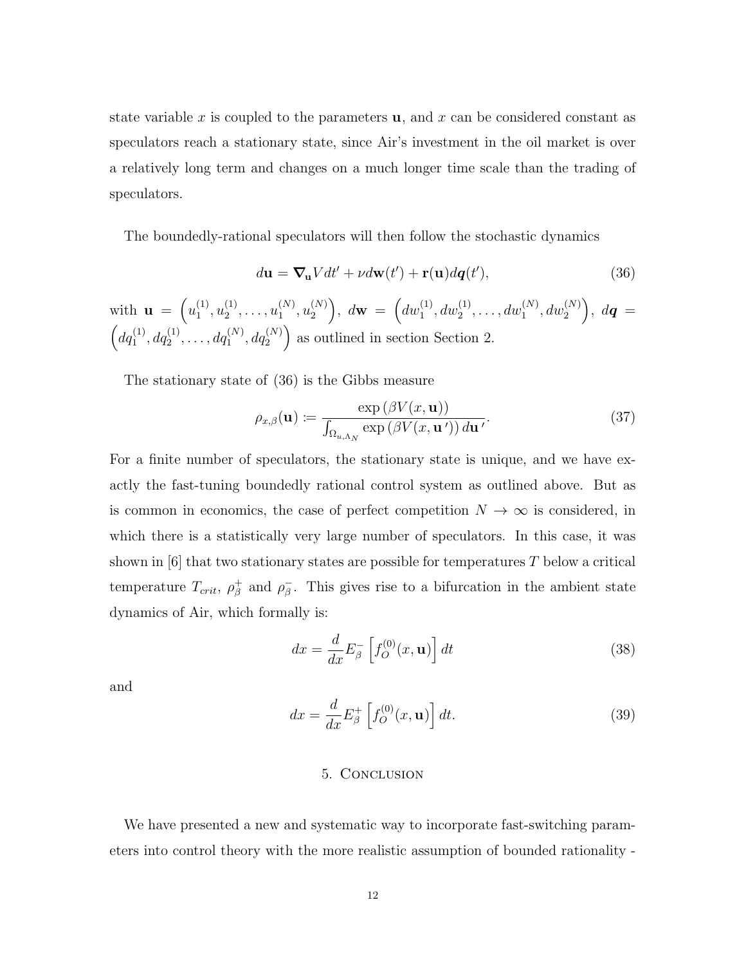state variable x is coupled to the parameters  $\bf{u}$ , and x can be considered constant as speculators reach a stationary state, since Air's investment in the oil market is over a relatively long term and changes on a much longer time scale than the trading of speculators.

The boundedly-rational speculators will then follow the stochastic dynamics

$$
d\mathbf{u} = \nabla_{\mathbf{u}} V dt' + \nu d\mathbf{w}(t') + \mathbf{r}(\mathbf{u}) d\mathbf{q}(t'),\tag{36}
$$

with  $\mathbf{u} = \left( u_1^{(1)} \right)$  $\binom{11}{1},u_2^{(1)}$  $u_2^{(1)}, \ldots, u_1^{(N)}$  $u_1^{(N)}, u_2^{(N)}$  $\left( \begin{matrix} N\end{matrix} \right), \,\, d{\bf w} \,\,=\,\, \left( dw_1^{(1)}, dw_2^{(1)}, \ldots, dw_1^{(N)}, dw_2^{(N)} \right), \,\, d{\bm q} \,\,=\,\,$  $(dq_1^{(1)}, dq_2^{(1)}, \ldots, dq_1^{(N)}, dq_2^{(N)})$  as outlined in section Section 2.

The stationary state of (36) is the Gibbs measure

$$
\rho_{x,\beta}(\mathbf{u}) := \frac{\exp(\beta V(x,\mathbf{u}))}{\int_{\Omega_{u,\Lambda_N}} \exp(\beta V(x,\mathbf{u}')) d\mathbf{u}'}. \tag{37}
$$

For a finite number of speculators, the stationary state is unique, and we have exactly the fast-tuning boundedly rational control system as outlined above. But as is common in economics, the case of perfect competition  $N \to \infty$  is considered, in which there is a statistically very large number of speculators. In this case, it was shown in  $[6]$  that two stationary states are possible for temperatures T below a critical temperature  $T_{crit}$ ,  $\rho_{\beta}^{+}$  $\frac{1}{\beta}$  and  $\rho_{\beta}^{-}$  $\bar{\beta}$ . This gives rise to a bifurcation in the ambient state dynamics of Air, which formally is:

$$
dx = \frac{d}{dx} E_{\beta}^{-} \left[ f_{O}^{(0)}(x, \mathbf{u}) \right] dt
$$
 (38)

and

$$
dx = \frac{d}{dx} E_{\beta}^{+} \left[ f_{O}^{(0)}(x, \mathbf{u}) \right] dt.
$$
 (39)

#### 5. Conclusion

We have presented a new and systematic way to incorporate fast-switching parameters into control theory with the more realistic assumption of bounded rationality -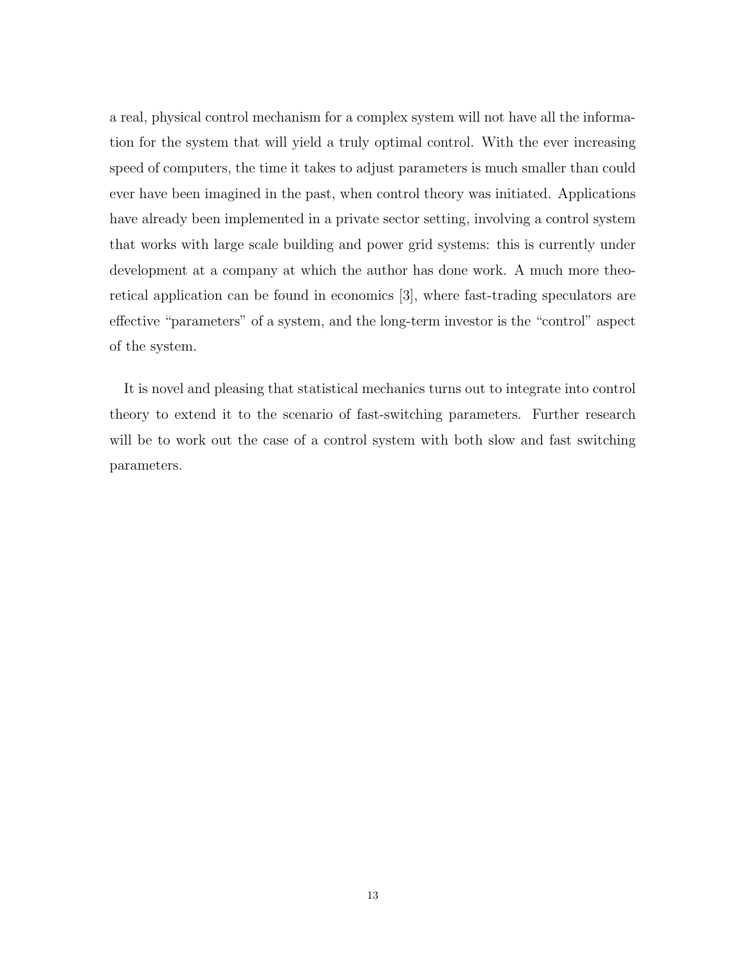a real, physical control mechanism for a complex system will not have all the information for the system that will yield a truly optimal control. With the ever increasing speed of computers, the time it takes to adjust parameters is much smaller than could ever have been imagined in the past, when control theory was initiated. Applications have already been implemented in a private sector setting, involving a control system that works with large scale building and power grid systems: this is currently under development at a company at which the author has done work. A much more theoretical application can be found in economics [3], where fast-trading speculators are effective "parameters" of a system, and the long-term investor is the "control" aspect of the system.

It is novel and pleasing that statistical mechanics turns out to integrate into control theory to extend it to the scenario of fast-switching parameters. Further research will be to work out the case of a control system with both slow and fast switching parameters.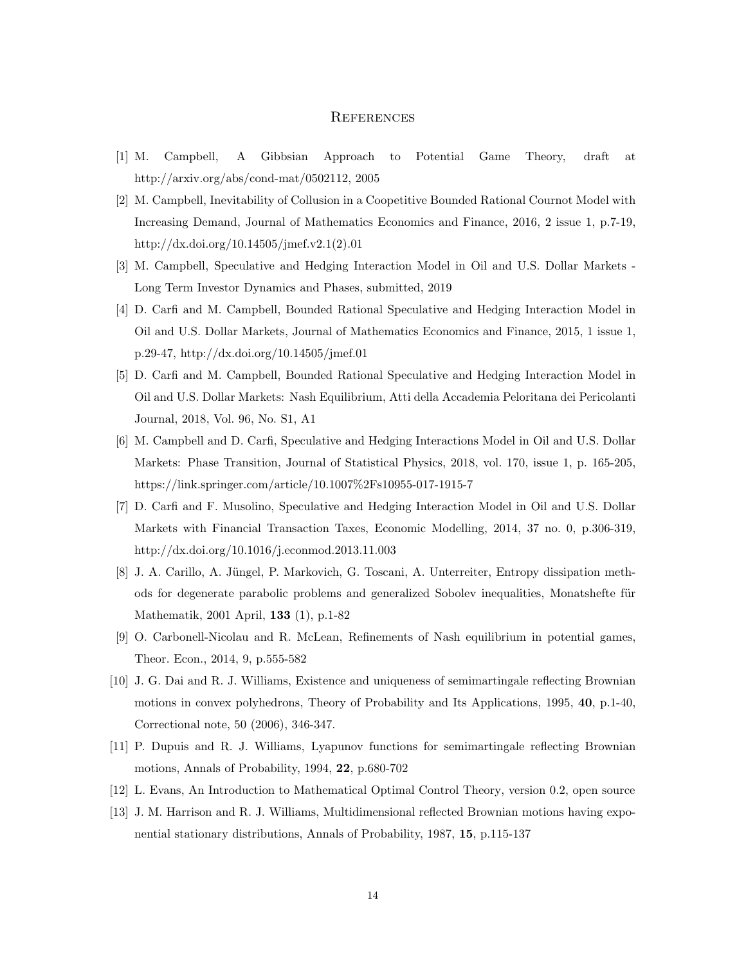#### **REFERENCES**

- [1] M. Campbell, A Gibbsian Approach to Potential Game Theory, draft at http://arxiv.org/abs/cond-mat/0502112, 2005
- [2] M. Campbell, Inevitability of Collusion in a Coopetitive Bounded Rational Cournot Model with Increasing Demand, Journal of Mathematics Economics and Finance, 2016, 2 issue 1, p.7-19, http://dx.doi.org/10.14505/jmef.v2.1(2).01
- [3] M. Campbell, Speculative and Hedging Interaction Model in Oil and U.S. Dollar Markets Long Term Investor Dynamics and Phases, submitted, 2019
- [4] D. Carfi and M. Campbell, Bounded Rational Speculative and Hedging Interaction Model in Oil and U.S. Dollar Markets, Journal of Mathematics Economics and Finance, 2015, 1 issue 1, p.29-47, http://dx.doi.org/10.14505/jmef.01
- [5] D. Carfi and M. Campbell, Bounded Rational Speculative and Hedging Interaction Model in Oil and U.S. Dollar Markets: Nash Equilibrium, Atti della Accademia Peloritana dei Pericolanti Journal, 2018, Vol. 96, No. S1, A1
- [6] M. Campbell and D. Carfi, Speculative and Hedging Interactions Model in Oil and U.S. Dollar Markets: Phase Transition, Journal of Statistical Physics, 2018, vol. 170, issue 1, p. 165-205, https://link.springer.com/article/10.1007%2Fs10955-017-1915-7
- [7] D. Carfi and F. Musolino, Speculative and Hedging Interaction Model in Oil and U.S. Dollar Markets with Financial Transaction Taxes, Economic Modelling, 2014, 37 no. 0, p.306-319, http://dx.doi.org/10.1016/j.econmod.2013.11.003
- [8] J. A. Carillo, A. Jüngel, P. Markovich, G. Toscani, A. Unterreiter, Entropy dissipation methods for degenerate parabolic problems and generalized Sobolev inequalities, Monatshefte für Mathematik, 2001 April, 133 (1), p.1-82
- [9] O. Carbonell-Nicolau and R. McLean, Refinements of Nash equilibrium in potential games, Theor. Econ., 2014, 9, p.555-582
- [10] J. G. Dai and R. J. Williams, Existence and uniqueness of semimartingale reflecting Brownian motions in convex polyhedrons, Theory of Probability and Its Applications, 1995, 40, p.1-40, Correctional note, 50 (2006), 346-347.
- [11] P. Dupuis and R. J. Williams, Lyapunov functions for semimartingale reflecting Brownian motions, Annals of Probability, 1994, 22, p.680-702
- [12] L. Evans, An Introduction to Mathematical Optimal Control Theory, version 0.2, open source
- [13] J. M. Harrison and R. J. Williams, Multidimensional reflected Brownian motions having exponential stationary distributions, Annals of Probability, 1987, 15, p.115-137